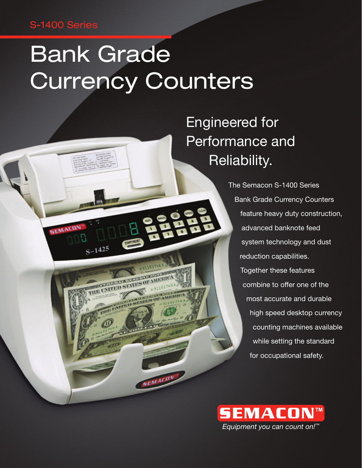### S-1400 Series

SEMACD

 $S-1425$ 

ERICATORES THE UNITED STATE

# Bank Grade Currency Counters

## Engineered for Performance and Reliability.

The Semacon S-1400 Series Bank Grade Currency Counters feature heavy duty construction, advanced banknote feed system technology and dust reduction capabilities. Together these features combine to offer one of the most accurate and durable high speed desktop currency counting machines available while setting the standard for occupational safety.